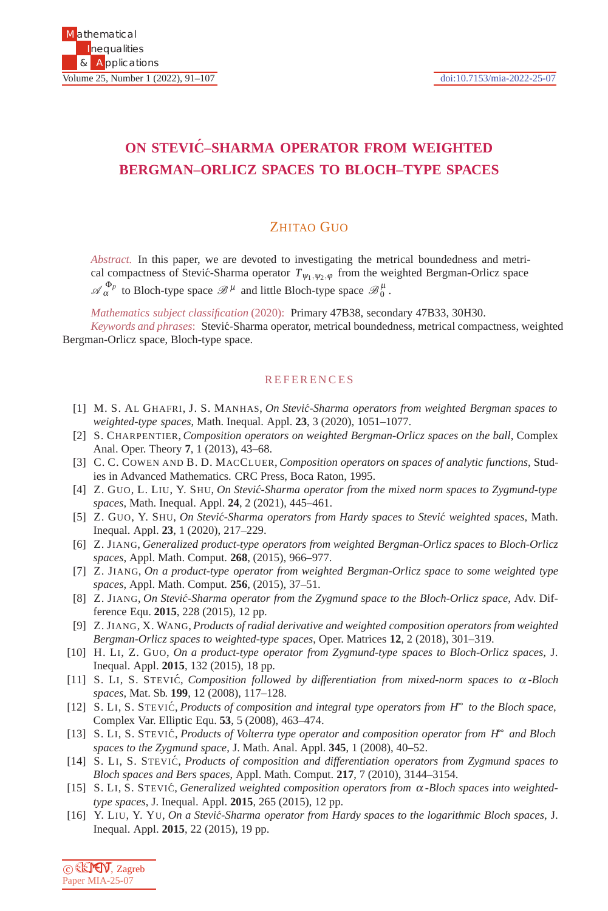## **ON STEVIC–SHARMA OPERATOR FROM WEIGHTED ´ BERGMAN–ORLICZ SPACES TO BLOCH–TYPE SPACES**

## ZHITAO GUO

*Abstract.* In this paper, we are devoted to investigating the metrical boundedness and metrical compactness of Stević-Sharma operator  $T_{\psi_1,\psi_2,\varphi}$  from the weighted Bergman-Orlicz space  $\mathscr{A}_{\alpha}^{\Phi_p}$  to Bloch-type space  $\mathscr{B}^{\mu}$  and little Bloch-type space  $\mathscr{B}_0^{\mu}$ .

*Mathematics subject classification* (2020): Primary 47B38, secondary 47B33, 30H30.

*Keywords and phrases*: Stevi´c-Sharma operator, metrical boundedness, metrical compactness, weighted Bergman-Orlicz space, Bloch-type space.

## **REFERENCES**

- [1] M. S. AL GHAFRI, J. S. MANHAS, *On Stevi´c-Sharma operators from weighted Bergman spaces to weighted-type spaces*, Math. Inequal. Appl. **23**, 3 (2020), 1051–1077.
- [2] S. CHARPENTIER, *Composition operators on weighted Bergman-Orlicz spaces on the ball*, Complex Anal. Oper. Theory **7**, 1 (2013), 43–68.
- [3] C. C. COWEN AND B. D. MACCLUER, *Composition operators on spaces of analytic functions*, Studies in Advanced Mathematics. CRC Press, Boca Raton, 1995.
- [4] Z. GUO, L. LIU, Y. SHU, *On Stević-Sharma operator from the mixed norm spaces to Zygmund-type spaces*, Math. Inequal. Appl. **24**, 2 (2021), 445–461.
- [5] Z. GUO, Y. SHU, *On Stevi´c-Sharma operators from Hardy spaces to Stevi´c weighted spaces*, Math. Inequal. Appl. **23**, 1 (2020), 217–229.
- [6] Z. JIANG, *Generalized product-type operators from weighted Bergman-Orlicz spaces to Bloch-Orlicz spaces*, Appl. Math. Comput. **268**, (2015), 966–977.
- [7] Z. JIANG, *On a product-type operator from weighted Bergman-Orlicz space to some weighted type spaces*, Appl. Math. Comput. **256**, (2015), 37–51.
- [8] Z. JIANG, *On Stević-Sharma operator from the Zygmund space to the Bloch-Orlicz space*, Adv. Difference Equ. **2015**, 228 (2015), 12 pp.
- [9] Z. JIANG, X. WANG, *Products of radial derivative and weighted composition operators from weighted Bergman-Orlicz spaces to weighted-type spaces*, Oper. Matrices **12**, 2 (2018), 301–319.
- [10] H. LI, Z. GUO, *On a product-type operator from Zygmund-type spaces to Bloch-Orlicz spaces*, J. Inequal. Appl. **2015**, 132 (2015), 18 pp.
- [11] S. LI, S. STEVIC´, *Composition followed by differentiation from mixed-norm spaces to* <sup>α</sup> *-Bloch spaces*, Mat. Sb. **199**, 12 (2008), 117–128.
- [12] S. LI, S. STEVIC´, *Products of composition and integral type operators from H*<sup>∞</sup> *to the Bloch space*, Complex Var. Elliptic Equ. **53**, 5 (2008), 463–474.
- [13] S. LI, S. STEVIC´, *Products of Volterra type operator and composition operator from H*<sup>∞</sup> *and Bloch spaces to the Zygmund space*, J. Math. Anal. Appl. **345**, 1 (2008), 40–52.
- [14] S. LI, S. STEVIC´, *Products of composition and differentiation operators from Zygmund spaces to Bloch spaces and Bers spaces*, Appl. Math. Comput. **217**, 7 (2010), 3144–3154.
- [15] S. LI, S. STEVIC´, *Generalized weighted composition operators from* <sup>α</sup> *-Bloch spaces into weightedtype spaces*, J. Inequal. Appl. **2015**, 265 (2015), 12 pp.
- [16] Y. LIU, Y. YU, *On a Stevi´c-Sharma operator from Hardy spaces to the logarithmic Bloch spaces*, J. Inequal. Appl. **2015**, 22 (2015), 19 pp.